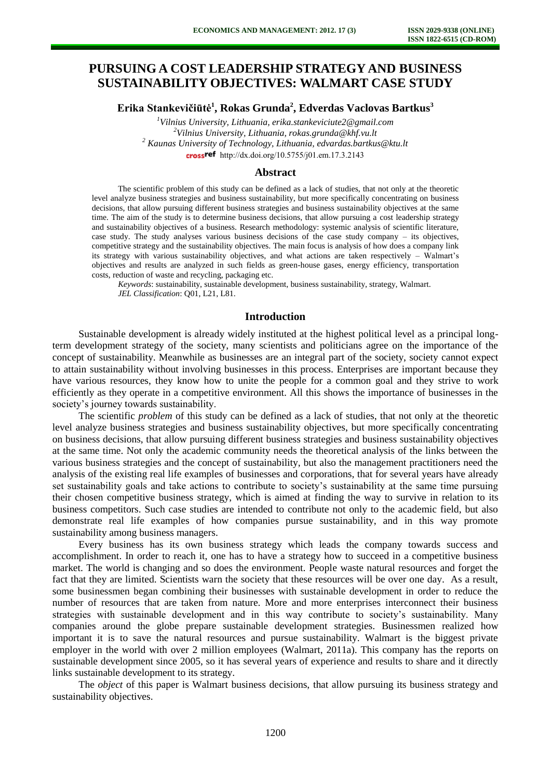# **PURSUING A COST LEADERSHIP STRATEGY AND BUSINESS SUSTAINABILITY OBJECTIVES: WALMART CASE STUDY**

**Erika Stankevičiūtė<sup>1</sup> , Rokas Grunda<sup>2</sup> , Edverdas Vaclovas Bartkus<sup>3</sup>**

*Vilnius University, Lithuania, erika.stankeviciute2@gmail.com Vilnius University, Lithuania, rokas.grunda@khf.vu.lt Kaunas University of Technology, Lithuania, edvardas.bartkus@ktu.lt*  crossref [http://dx.doi.org/10.5755/j01.e](http://dx.doi.org/10.5755/j01.em.17.3.2143)m.17.3.2143

### **Abstract**

The scientific problem of this study can be defined as a lack of studies, that not only at the theoretic level analyze business strategies and business sustainability, but more specifically concentrating on business decisions, that allow pursuing different business strategies and business sustainability objectives at the same time. The aim of the study is to determine business decisions, that allow pursuing a cost leadership strategy and sustainability objectives of a business. Research methodology: systemic analysis of scientific literature, case study. The study analyses various business decisions of the case study company – its objectives, competitive strategy and the sustainability objectives. The main focus is analysis of how does a company link its strategy with various sustainability objectives, and what actions are taken respectively – Walmart's objectives and results are analyzed in such fields as green-house gases, energy efficiency, transportation costs, reduction of waste and recycling, packaging etc.

*Keywords*: sustainability, sustainable development, business sustainability, strategy, Walmart. *JEL Classification*: Q01, L21, L81.

#### **Introduction**

Sustainable development is already widely instituted at the highest political level as a principal longterm development strategy of the society, many scientists and politicians agree on the importance of the concept of sustainability. Meanwhile as businesses are an integral part of the society, society cannot expect to attain sustainability without involving businesses in this process. Enterprises are important because they have various resources, they know how to unite the people for a common goal and they strive to work efficiently as they operate in a competitive environment. All this shows the importance of businesses in the society's journey towards sustainability.

The scientific *problem* of this study can be defined as a lack of studies, that not only at the theoretic level analyze business strategies and business sustainability objectives, but more specifically concentrating on business decisions, that allow pursuing different business strategies and business sustainability objectives at the same time. Not only the academic community needs the theoretical analysis of the links between the various business strategies and the concept of sustainability, but also the management practitioners need the analysis of the existing real life examples of businesses and corporations, that for several years have already set sustainability goals and take actions to contribute to society's sustainability at the same time pursuing their chosen competitive business strategy, which is aimed at finding the way to survive in relation to its business competitors. Such case studies are intended to contribute not only to the academic field, but also demonstrate real life examples of how companies pursue sustainability, and in this way promote sustainability among business managers.

Every business has its own business strategy which leads the company towards success and accomplishment. In order to reach it, one has to have a strategy how to succeed in a competitive business market. The world is changing and so does the environment. People waste natural resources and forget the fact that they are limited. Scientists warn the society that these resources will be over one day. As a result, some businessmen began combining their businesses with sustainable development in order to reduce the number of resources that are taken from nature. More and more enterprises interconnect their business strategies with sustainable development and in this way contribute to society's sustainability. Many companies around the globe prepare sustainable development strategies. Businessmen realized how important it is to save the natural resources and pursue sustainability. Walmart is the biggest private employer in the world with over 2 million employees (Walmart, 2011a). This company has the reports on sustainable development since 2005, so it has several years of experience and results to share and it directly links sustainable development to its strategy.

The *object* of this paper is Walmart business decisions, that allow pursuing its business strategy and sustainability objectives.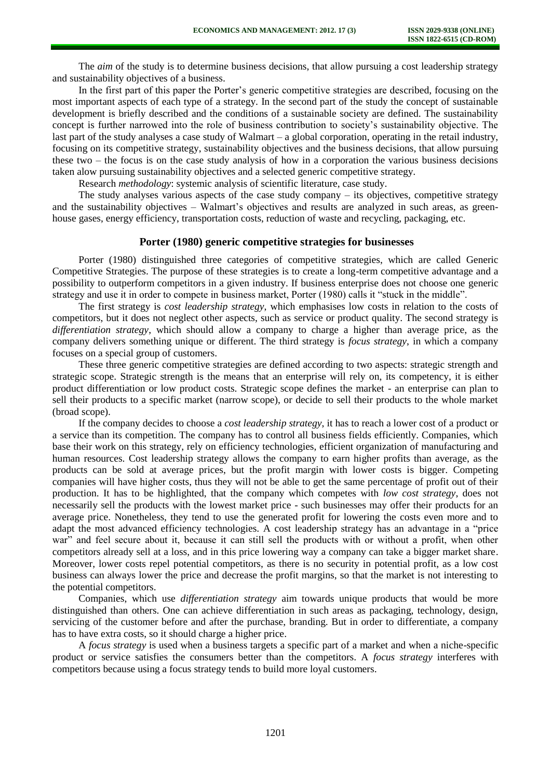The *aim* of the study is to determine business decisions, that allow pursuing a cost leadership strategy and sustainability objectives of a business.

In the first part of this paper the Porter's generic competitive strategies are described, focusing on the most important aspects of each type of a strategy. In the second part of the study the concept of sustainable development is briefly described and the conditions of a sustainable society are defined. The sustainability concept is further narrowed into the role of business contribution to society's sustainability objective. The last part of the study analyses a case study of Walmart – a global corporation, operating in the retail industry, focusing on its competitive strategy, sustainability objectives and the business decisions, that allow pursuing these two – the focus is on the case study analysis of how in a corporation the various business decisions taken alow pursuing sustainability objectives and a selected generic competitive strategy.

Research *methodology*: systemic analysis of scientific literature, case study.

The study analyses various aspects of the case study company – its objectives, competitive strategy and the sustainability objectives – Walmart's objectives and results are analyzed in such areas, as greenhouse gases, energy efficiency, transportation costs, reduction of waste and recycling, packaging, etc.

### **Porter (1980) generic competitive strategies for businesses**

Porter (1980) distinguished three categories of competitive strategies, which are called Generic Competitive Strategies. The purpose of these strategies is to create a long-term competitive advantage and a possibility to outperform competitors in a given industry. If business enterprise does not choose one generic strategy and use it in order to compete in business market, Porter (1980) calls it "stuck in the middle".

The first strategy is *cost leadership strategy*, which emphasises low costs in relation to the costs of competitors, but it does not neglect other aspects, such as service or product quality. The second strategy is *differentiation strategy*, which should allow a company to charge a higher than average price, as the company delivers something unique or different. The third strategy is *focus strategy*, in which a company focuses on a special group of customers.

These three generic competitive strategies are defined according to two aspects: strategic strength and strategic scope. Strategic strength is the means that an enterprise will rely on, its competency, it is either product differentiation or low product costs. Strategic scope defines the market - an enterprise can plan to sell their products to a specific market (narrow scope), or decide to sell their products to the whole market (broad scope).

If the company decides to choose a *cost leadership strategy*, it has to reach a lower cost of a product or a service than its competition. The company has to control all business fields efficiently. Companies, which base their work on this strategy, rely on efficiency technologies, efficient organization of manufacturing and human resources. Cost leadership strategy allows the company to earn higher profits than average, as the products can be sold at average prices, but the profit margin with lower costs is bigger. Competing companies will have higher costs, thus they will not be able to get the same percentage of profit out of their production. It has to be highlighted, that the company which competes with *low cost strategy*, does not necessarily sell the products with the lowest market price - such businesses may offer their products for an average price. Nonetheless, they tend to use the generated profit for lowering the costs even more and to adapt the most advanced efficiency technologies. A cost leadership strategy has an advantage in a "price war" and feel secure about it, because it can still sell the products with or without a profit, when other competitors already sell at a loss, and in this price lowering way a company can take a bigger market share. Moreover, lower costs repel potential competitors, as there is no security in potential profit, as a low cost business can always lower the price and decrease the profit margins, so that the market is not interesting to the potential competitors.

Companies, which use *differentiation strategy* aim towards unique products that would be more distinguished than others. One can achieve differentiation in such areas as packaging, technology, design, servicing of the customer before and after the purchase, branding. But in order to differentiate, a company has to have extra costs, so it should charge a higher price.

A *focus strategy* is used when a business targets a specific part of a market and when a niche-specific product or service satisfies the consumers better than the competitors. A *focus strategy* interferes with competitors because using a focus strategy tends to build more loyal customers.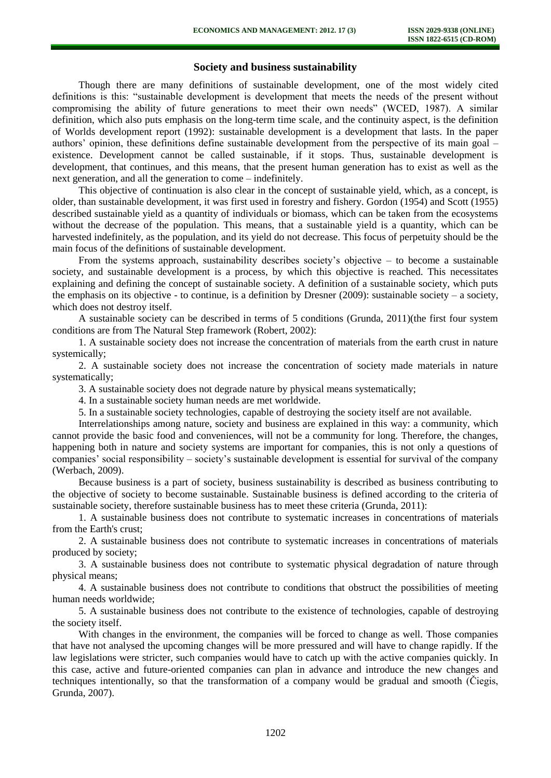# **Society and business sustainability**

Though there are many definitions of sustainable development, one of the most widely cited definitions is this: "sustainable development is development that meets the needs of the present without compromising the ability of future generations to meet their own needs" (WCED, 1987). A similar definition, which also puts emphasis on the long-term time scale, and the continuity aspect, is the definition of Worlds development report (1992): sustainable development is a development that lasts. In the paper authors' opinion, these definitions define sustainable development from the perspective of its main goal – existence. Development cannot be called sustainable, if it stops. Thus, sustainable development is development, that continues, and this means, that the present human generation has to exist as well as the next generation, and all the generation to come – indefinitely.

This objective of continuation is also clear in the concept of sustainable yield, which, as a concept, is older, than sustainable development, it was first used in forestry and fishery. Gordon (1954) and Scott (1955) described sustainable yield as a quantity of individuals or biomass, which can be taken from the ecosystems without the decrease of the population. This means, that a sustainable yield is a quantity, which can be harvested indefinitely, as the population, and its yield do not decrease. This focus of perpetuity should be the main focus of the definitions of sustainable development.

From the systems approach, sustainability describes society's objective – to become a sustainable society, and sustainable development is a process, by which this objective is reached. This necessitates explaining and defining the concept of sustainable society. A definition of a sustainable society, which puts the emphasis on its objective - to continue, is a definition by Dresner  $(2009)$ : sustainable society – a society, which does not destroy itself.

A sustainable society can be described in terms of 5 conditions (Grunda, 2011)(the first four system conditions are from The Natural Step framework (Robert, 2002):

1. A sustainable society does not increase the concentration of materials from the earth crust in nature systemically;

2. A sustainable society does not increase the concentration of society made materials in nature systematically;

3. A sustainable society does not degrade nature by physical means systematically;

4. In a sustainable society human needs are met worldwide.

5. In a sustainable society technologies, capable of destroying the society itself are not available.

Interrelationships among nature, society and business are explained in this way: a community, which cannot provide the basic food and conveniences, will not be a community for long. Therefore, the changes, happening both in nature and society systems are important for companies, this is not only a questions of companies' social responsibility – society's sustainable development is essential for survival of the company (Werbach, 2009).

Because business is a part of society, business sustainability is described as business contributing to the objective of society to become sustainable. Sustainable business is defined according to the criteria of sustainable society, therefore sustainable business has to meet these criteria (Grunda, 2011):

1. A sustainable business does not contribute to systematic increases in concentrations of materials from the Earth's crust;

2. A sustainable business does not contribute to systematic increases in concentrations of materials produced by society;

3. A sustainable business does not contribute to systematic physical degradation of nature through physical means;

4. A sustainable business does not contribute to conditions that obstruct the possibilities of meeting human needs worldwide;

5. A sustainable business does not contribute to the existence of technologies, capable of destroying the society itself.

With changes in the environment, the companies will be forced to change as well. Those companies that have not analysed the upcoming changes will be more pressured and will have to change rapidly. If the law legislations were stricter, such companies would have to catch up with the active companies quickly. In this case, active and future-oriented companies can plan in advance and introduce the new changes and techniques intentionally, so that the transformation of a company would be gradual and smooth (Čiegis, Grunda, 2007).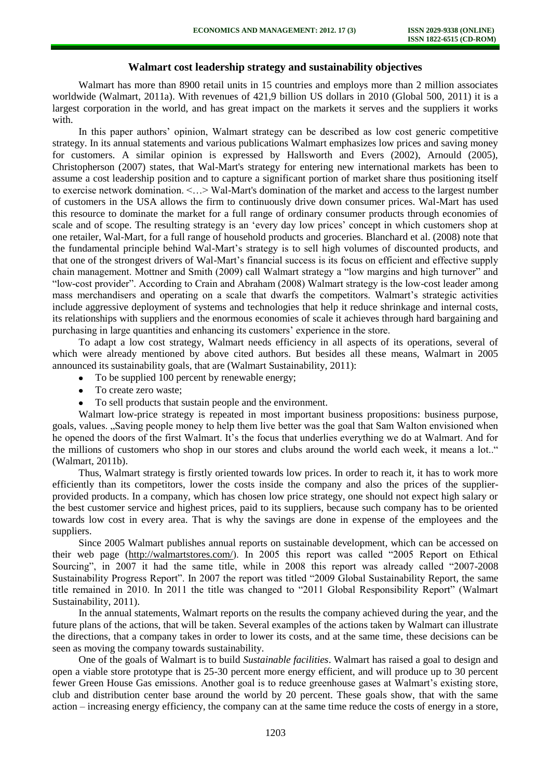# **Walmart cost leadership strategy and sustainability objectives**

Walmart has more than 8900 retail units in 15 countries and employs more than 2 million associates worldwide (Walmart, 2011a). With revenues of 421,9 billion US dollars in 2010 (Global 500, 2011) it is a largest corporation in the world, and has great impact on the markets it serves and the suppliers it works with

In this paper authors' opinion, Walmart strategy can be described as low cost generic competitive strategy. In its annual statements and various publications Walmart emphasizes low prices and saving money for customers. A similar opinion is expressed by Hallsworth and Evers (2002), Arnould (2005), Christopherson (2007) states, that Wal-Mart's strategy for entering new international markets has been to assume a cost leadership position and to capture a significant portion of market share thus positioning itself to exercise network domination. <…> Wal-Mart's domination of the market and access to the largest number of customers in the USA allows the firm to continuously drive down consumer prices. Wal-Mart has used this resource to dominate the market for a full range of ordinary consumer products through economies of scale and of scope. The resulting strategy is an 'every day low prices' concept in which customers shop at one retailer, Wal-Mart, for a full range of household products and groceries. Blanchard et al. (2008) note that the fundamental principle behind Wal-Mart's strategy is to sell high volumes of discounted products, and that one of the strongest drivers of Wal-Mart's financial success is its focus on efficient and effective supply chain management. Mottner and Smith (2009) call Walmart strategy a "low margins and high turnover" and "low-cost provider". According to Crain and Abraham (2008) Walmart strategy is the low-cost leader among mass merchandisers and operating on a scale that dwarfs the competitors. Walmart's strategic activities include aggressive deployment of systems and technologies that help it reduce shrinkage and internal costs, its relationships with suppliers and the enormous economies of scale it achieves through hard bargaining and purchasing in large quantities and enhancing its customers' experience in the store.

To adapt a low cost strategy, Walmart needs efficiency in all aspects of its operations, several of which were already mentioned by above cited authors. But besides all these means, Walmart in 2005 announced its sustainability goals, that are (Walmart Sustainability, 2011):

- To be supplied 100 percent by renewable energy;
- To create zero waste;  $\bullet$
- To sell products that sustain people and the environment.

Walmart low-price strategy is repeated in most important business propositions: business purpose, goals, values. "Saving people money to help them live better was the goal that Sam Walton envisioned when he opened the doors of the first Walmart. It's the focus that underlies everything we do at Walmart. And for the millions of customers who shop in our stores and clubs around the world each week, it means a lot.." (Walmart, 2011b).

Thus, Walmart strategy is firstly oriented towards low prices. In order to reach it, it has to work more efficiently than its competitors, lower the costs inside the company and also the prices of the supplierprovided products. In a company, which has chosen low price strategy, one should not expect high salary or the best customer service and highest prices, paid to its suppliers, because such company has to be oriented towards low cost in every area. That is why the savings are done in expense of the employees and the suppliers.

Since 2005 Walmart publishes annual reports on sustainable development, which can be accessed on their web page [\(http://walmartstores.com/\)](http://walmartstores.com/). In 2005 this report was called "2005 Report on Ethical Sourcing", in 2007 it had the same title, while in 2008 this report was already called "2007-2008 Sustainability Progress Report". In 2007 the report was titled "2009 Global Sustainability Report, the same title remained in 2010. In 2011 the title was changed to "2011 Global Responsibility Report" (Walmart Sustainability, 2011).

In the annual statements, Walmart reports on the results the company achieved during the year, and the future plans of the actions, that will be taken. Several examples of the actions taken by Walmart can illustrate the directions, that a company takes in order to lower its costs, and at the same time, these decisions can be seen as moving the company towards sustainability.

One of the goals of Walmart is to build *Sustainable facilities*. Walmart has raised a goal to design and open a viable store prototype that is 25-30 percent more energy efficient, and will produce up to 30 percent fewer Green House Gas emissions. Another goal is to reduce greenhouse gases at Walmart's existing store, club and distribution center base around the world by 20 percent. These goals show, that with the same action – increasing energy efficiency, the company can at the same time reduce the costs of energy in a store,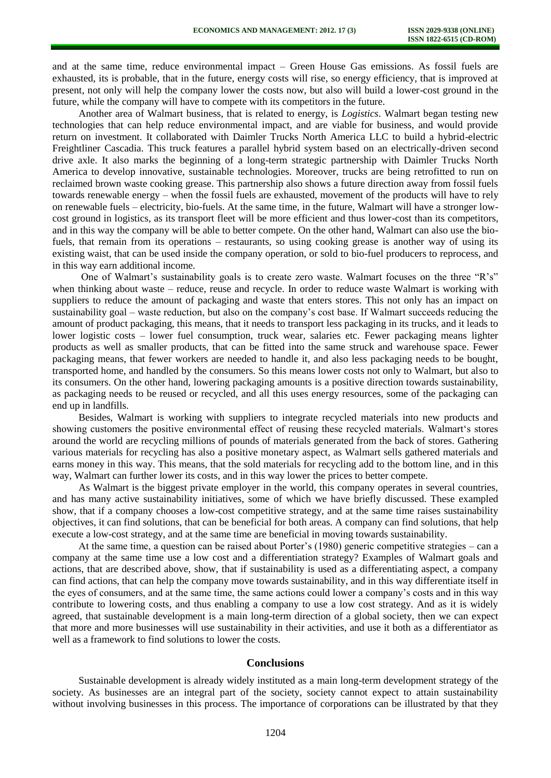and at the same time, reduce environmental impact – Green House Gas emissions. As fossil fuels are exhausted, its is probable, that in the future, energy costs will rise, so energy efficiency, that is improved at present, not only will help the company lower the costs now, but also will build a lower-cost ground in the future, while the company will have to compete with its competitors in the future.

Another area of Walmart business, that is related to energy, is *Logistics*. Walmart began testing new technologies that can help reduce environmental impact, and are viable for business, and would provide return on investment. It collaborated with Daimler Trucks North America LLC to build a hybrid-electric Freightliner Cascadia. This truck features a parallel hybrid system based on an electrically-driven second drive axle. It also marks the beginning of a long-term strategic partnership with Daimler Trucks North America to develop innovative, sustainable technologies. Moreover, trucks are being retrofitted to run on reclaimed brown waste cooking grease. This partnership also shows a future direction away from fossil fuels towards renewable energy – when the fossil fuels are exhausted, movement of the products will have to rely on renewable fuels – electricity, bio-fuels. At the same time, in the future, Walmart will have a stronger lowcost ground in logistics, as its transport fleet will be more efficient and thus lower-cost than its competitors, and in this way the company will be able to better compete. On the other hand, Walmart can also use the biofuels, that remain from its operations – restaurants, so using cooking grease is another way of using its existing waist, that can be used inside the company operation, or sold to bio-fuel producers to reprocess, and in this way earn additional income.

One of Walmart's sustainability goals is to create zero waste. Walmart focuses on the three "R's" when thinking about waste – reduce, reuse and recycle. In order to reduce waste Walmart is working with suppliers to reduce the amount of packaging and waste that enters stores. This not only has an impact on sustainability goal – waste reduction, but also on the company's cost base. If Walmart succeeds reducing the amount of product packaging, this means, that it needs to transport less packaging in its trucks, and it leads to lower logistic costs – lower fuel consumption, truck wear, salaries etc. Fewer packaging means lighter products as well as smaller products, that can be fitted into the same struck and warehouse space. Fewer packaging means, that fewer workers are needed to handle it, and also less packaging needs to be bought, transported home, and handled by the consumers. So this means lower costs not only to Walmart, but also to its consumers. On the other hand, lowering packaging amounts is a positive direction towards sustainability, as packaging needs to be reused or recycled, and all this uses energy resources, some of the packaging can end up in landfills.

Besides, Walmart is working with suppliers to integrate recycled materials into new products and showing customers the positive environmental effect of reusing these recycled materials. Walmart's stores around the world are recycling millions of pounds of materials generated from the back of stores. Gathering various materials for recycling has also a positive monetary aspect, as Walmart sells gathered materials and earns money in this way. This means, that the sold materials for recycling add to the bottom line, and in this way, Walmart can further lower its costs, and in this way lower the prices to better compete.

As Walmart is the biggest private employer in the world, this company operates in several countries, and has many active sustainability initiatives, some of which we have briefly discussed. These exampled show, that if a company chooses a low-cost competitive strategy, and at the same time raises sustainability objectives, it can find solutions, that can be beneficial for both areas. A company can find solutions, that help execute a low-cost strategy, and at the same time are beneficial in moving towards sustainability.

At the same time, a question can be raised about Porter's (1980) generic competitive strategies – can a company at the same time use a low cost and a differentiation strategy? Examples of Walmart goals and actions, that are described above, show, that if sustainability is used as a differentiating aspect, a company can find actions, that can help the company move towards sustainability, and in this way differentiate itself in the eyes of consumers, and at the same time, the same actions could lower a company's costs and in this way contribute to lowering costs, and thus enabling a company to use a low cost strategy. And as it is widely agreed, that sustainable development is a main long-term direction of a global society, then we can expect that more and more businesses will use sustainability in their activities, and use it both as a differentiator as well as a framework to find solutions to lower the costs.

# **Conclusions**

Sustainable development is already widely instituted as a main long-term development strategy of the society. As businesses are an integral part of the society, society cannot expect to attain sustainability without involving businesses in this process. The importance of corporations can be illustrated by that they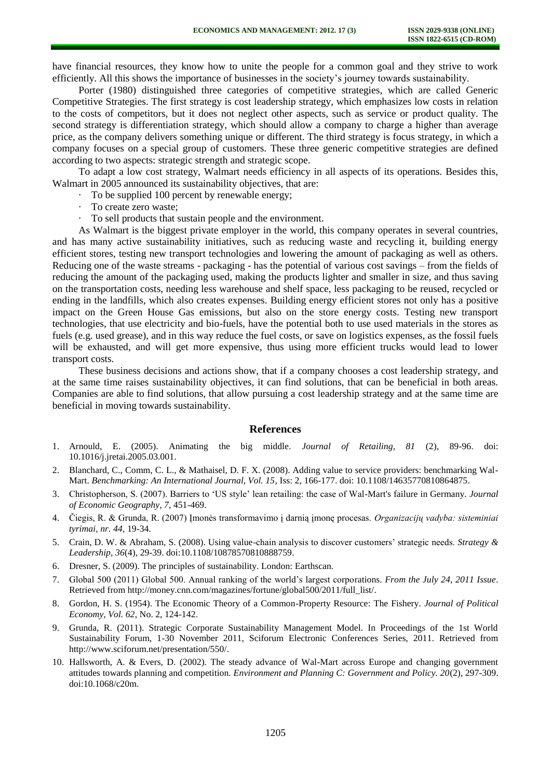have financial resources, they know how to unite the people for a common goal and they strive to work efficiently. All this shows the importance of businesses in the society's journey towards sustainability.

Porter (1980) distinguished three categories of competitive strategies, which are called Generic Competitive Strategies. The first strategy is cost leadership strategy, which emphasizes low costs in relation to the costs of competitors, but it does not neglect other aspects, such as service or product quality. The second strategy is differentiation strategy, which should allow a company to charge a higher than average price, as the company delivers something unique or different. The third strategy is focus strategy, in which a company focuses on a special group of customers. These three generic competitive strategies are defined according to two aspects: strategic strength and strategic scope.

To adapt a low cost strategy, Walmart needs efficiency in all aspects of its operations. Besides this, Walmart in 2005 announced its sustainability objectives, that are:

- To be supplied 100 percent by renewable energy;
- To create zero waste;
- · To sell products that sustain people and the environment.

As Walmart is the biggest private employer in the world, this company operates in several countries, and has many active sustainability initiatives, such as reducing waste and recycling it, building energy efficient stores, testing new transport technologies and lowering the amount of packaging as well as others. Reducing one of the waste streams - packaging - has the potential of various cost savings – from the fields of reducing the amount of the packaging used, making the products lighter and smaller in size, and thus saving on the transportation costs, needing less warehouse and shelf space, less packaging to be reused, recycled or ending in the landfills, which also creates expenses. Building energy efficient stores not only has a positive impact on the Green House Gas emissions, but also on the store energy costs. Testing new transport technologies, that use electricity and bio-fuels, have the potential both to use used materials in the stores as fuels (e.g. used grease), and in this way reduce the fuel costs, or save on logistics expenses, as the fossil fuels will be exhausted, and will get more expensive, thus using more efficient trucks would lead to lower transport costs.

These business decisions and actions show, that if a company chooses a cost leadership strategy, and at the same time raises sustainability objectives, it can find solutions, that can be beneficial in both areas. Companies are able to find solutions, that allow pursuing a cost leadership strategy and at the same time are beneficial in moving towards sustainability.

#### **References**

- 1. Arnould, E. (2005). Animating the big middle. *Journal of Retailing, 81* (2), 89-96. doi: [10.1016/j.jretai.2005.03.001.](http://dx.doi.org/10.1016/j.jretai.2005.03.001)
- 2. Blanchard, C., Comm, C. L., & Mathaisel, D. F. X. (2008). Adding value to service providers: benchmarking Wal-Mart. *Benchmarking: An International Journal, Vol. 15*, Iss: 2, 166-177. doi: [10.1108/14635770810864875.](http://dx.doi.org/10.1108/14635770810864875)
- 3. Christopherson, S. (2007). Barriers to 'US style' lean retailing: the case of Wal-Mart's failure in Germany. *Journal of Economic Geography, 7*, 451-469.
- 4. Čiegis, R. & Grunda, R. (2007) Įmonės transformavimo į darnią įmonę procesas. *Organizacijų vadyba: sisteminiai tyrimai, nr. 44*, 19-34.
- 5. Crain, D. W. & Abraham, S. (2008). Using value-chain analysis to discover customers' strategic needs. *Strategy & Leadership, 36*(4), 29-39. doi[:10.1108/10878570810888759.](http://dx.doi.org/10.1108/10878570810888759)
- 6. Dresner, S. (2009). The principles of sustainability. London: Earthscan.
- 7. Global 500 (2011) Global 500. Annual ranking of the world's largest corporations. *From the July 24, 2011 Issue*. Retrieved from [http://money.cnn.com/magazines/fortune/global500/2011/full\\_list/.](http://money.cnn.com/magazines/fortune/global500/2011/full_list/)
- 8. Gordon, H. S. (1954). The Economic Theory of a Common-Property Resource: The Fishery. *Journal of Political Economy, Vol. 62*, No. 2, 124-142.
- 9. Grunda, R. (2011). Strategic Corporate Sustainability Management Model. In Proceedings of the 1st World Sustainability Forum, 1-30 November 2011, Sciforum Electronic Conferences Series, 2011. Retrieved from [http://www.sciforum.net/presentation/550/.](http://www.sciforum.net/presentation/550/)
- 10. Hallsworth, A. & Evers, D. (2002). The steady advance of Wal-Mart across Europe and changing government attitudes towards planning and competition. *Environment and Planning C: Government and Policy. 20*(2), 297-309. doi[:10.1068/c20m.](http://dx.doi.org/10.1068/c20m)